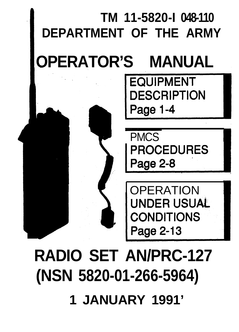# **RADIO SET AN/PRC-127 (NSN 5820-01-266-5964) 1 JANUARY 1991'**



TM 11-5820-I 048-110<br>DEPARTMENT OF THE ARM<br>**OPERATOR'S MANUAL EQUIPMENT** 

Page 1-4

**DEPARTMENT OF THE ARMY**

**DESCRIPTION**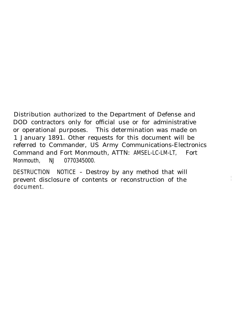Distribution authorized to the Department of Defense and DOD contractors only for official use or for administrative or operational purposes. This determination was made on 1 January 1891. Other requests for this document will be referred to Commander, US Army Communications-Electronics Command and Fort Monmouth, ATTN: AMSEL-LC-LM-LT, Fort Monmouth, NJ 0770345000.

DESTRUCTION NOTICE - Destroy by any method that will prevent disclosure of contents or reconstruction of the document.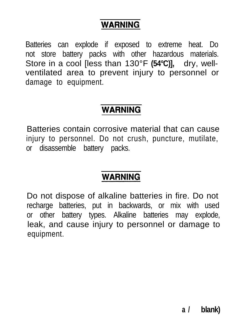### **WARNING**

Batteries can explode if exposed to extreme heat. Do not store battery packs with other hazardous materials. Store in a cool lless than 130°F (54°C)l. drv. wellventilated area to prevent injury to personnel or damage to equipment.

#### **WARNING**

Batteries contain corrosive material that can cause injury to personnel. Do not crush, puncture, mutilate, or disassemble battery packs.

### **WARNING**

Do not dispose of alkaline batteries in fire. Do not recharge batteries, put in backwards, or mix with used or other battery types. Alkaline batteries may explode, leak, and cause injury to personnel or damage to equipment.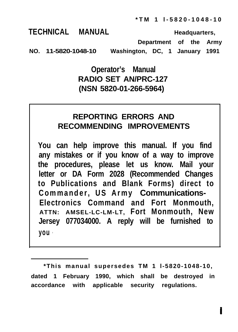**\*TM 1 l-5820-1048-10**

**TECHNICAL MANUAL Headquarters,**

**Department of the Army**

**NO. 11-5820-1048-10 Washington, DC, 1 January 1991**

#### **Operator's Manual RADIO SET AN/PRC-127 (NSN 5820-01-266-5964)**

#### **REPORTING ERRORS AND RECOMMENDING IMPROVEMENTS**

**You can help improve this manual. If you find any mistakes or if you know of a way to improve the procedures, please let us know. Mail your letter or DA Form 2028 (Recommended Changes to Publications and Blank Forms) direct to Commander, US Army Communications-Electronics Command and Fort Monmouth, ATTN: AMSEL-LC-LM-LT, Fort Monmouth, New Jersey 077034000. A reply will be furnished to you .**

**\*This manual supersedes TM 1 l-5820-1048-10, dated 1 February 1990, which shall be destroyed in accordance with applicable security regulations.**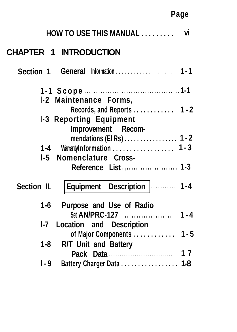### **Page**

| HOW TO USE THIS MANUAL                                                                                         | vi      |
|----------------------------------------------------------------------------------------------------------------|---------|
| <b>CHAPTER 1 INTRODUCTION</b>                                                                                  |         |
| Section 1.                                                                                                     |         |
| I-2 Maintenance Forms,                                                                                         |         |
| Records, and Reports 1 - 2<br><b>1-3 Reporting Equipment</b>                                                   |         |
| Improvement Recom-<br>mendations (EI Rs) $\dots\dots\dots\dots\dots$ 1 - 2<br>WarrantyInformation 1 - 3<br>1-4 |         |
| Nomenclature Cross-<br>$1-5$                                                                                   |         |
| Equipment Description    1-4<br>Section II.                                                                    |         |
| Purpose and Use of Radio<br>1-6<br>Set AN/PRC-127                                                              | $1 - 4$ |
| Location and Description<br>I-7                                                                                |         |
| of Major Components 1 - 5<br>R/T Unit and Battery<br>1-8                                                       |         |
| Pack Data                                                                                                      | 17      |
| Battery Charger Data 1-8<br>I-9                                                                                |         |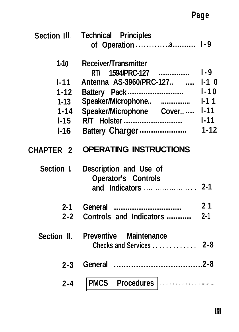# **Page**

| Section Ill      | <b>Technical Principles</b>                                     |          |
|------------------|-----------------------------------------------------------------|----------|
| $1 - 10$         | Receiver/Transmitter<br>RT/ 1594/PRC-127                        | $1-9$    |
| $1 - 11$         | Antenna AS-3960/PRC-127                                         | $1-1$ 0  |
| $1-12$           |                                                                 | $1 - 10$ |
| $1 - 13$         | Speaker/Microphone                                              | 111      |
| $1 - 14$         | Speaker/Microphone Cover                                        | $1 - 11$ |
| $1 - 15$         |                                                                 | $1 - 11$ |
| $I-16$           | Battery Charger                                                 | $1 - 12$ |
| <b>CHAPTER 2</b> | <b>OPERATING INSTRUCTIONS</b>                                   |          |
| Section 1        | Description and Use of<br>Operator's Controls<br>and Indicators | $2 - 1$  |
| $2 - 1$          |                                                                 | 21       |
| $2 - 2$          | Controls and Indicators                                         | $2 - 1$  |
| Section II.      | Preventive Maintenance<br>Checks and Services                   | 2-8      |
| $2 - 3$          |                                                                 |          |
|                  |                                                                 |          |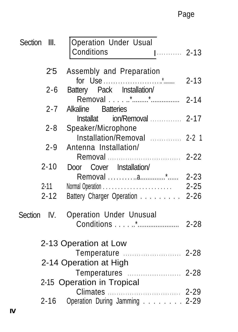### Page

| Section | III.        | <b>Operation Under Usual</b><br>Conditions            |          |
|---------|-------------|-------------------------------------------------------|----------|
|         | 25          | Assembly and Preparation                              |          |
|         |             |                                                       | $2 - 13$ |
|         | $2 - 6$     | Battery Pack Installation/                            |          |
|         | $2 - 7$     | <b>Batteries</b><br>Alkaline                          |          |
|         |             | Installat ion/Removal  2-17                           |          |
|         | $2 - 8$     | Speaker/Microphone                                    |          |
|         |             | Installation/Removal  2-2 1                           |          |
|         | $2 - 9$     | Antenna Installation/                                 | $2 - 22$ |
|         | $2 - 10$    | Door Cover Installation/                              |          |
|         |             | Removal a* 2-23                                       |          |
|         | 2-11        |                                                       |          |
|         | $2 - 12$    | Battery Charger Operation 2-26                        |          |
|         | Section IV. | Operation Under Unusual                               |          |
|         |             |                                                       | $2 - 28$ |
|         |             | 2-13 Operation at Low                                 |          |
|         |             |                                                       |          |
|         |             | 2-14 Operation at High                                |          |
|         |             |                                                       |          |
|         |             | 2-15 Operation in Tropical                            |          |
|         | 2-16        | Climates<br>. 2-29 .<br>Operation During Jamming 2-29 |          |
|         |             |                                                       |          |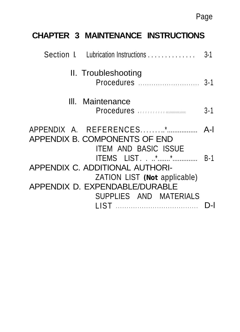### **CHAPTER 3 MAINTENANCE INSTRUCTIONS**

| Section I. Lubrication Instructions                      |                                                     | $3 - 1$ |
|----------------------------------------------------------|-----------------------------------------------------|---------|
| II. Troubleshooting                                      | Procedures                                          | $3 - 1$ |
| III. Maintenance                                         | Procedures <i>manufactures</i>                      | $3 - 1$ |
| APPENDIX A. REFERENCES*<br>APPENDIX B. COMPONENTS OF END | <b>ITEM AND BASIC ISSUE</b>                         | $A-I$   |
| APPENDIX C. ADDITIONAL AUTHORI-                          | <b>ITEMS</b> LIST**<br>ZATION LIST (Not applicable) | $B-1$   |
| APPENDIX D. EXPENDABLE/DURABLE                           | SUPPLIES AND MATERIALS                              |         |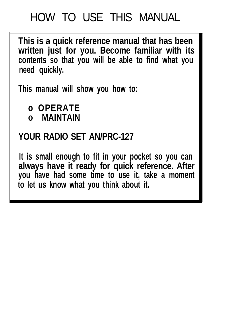# HOW TO USE THIS MANUAL

**This is a quick reference manual that has been written just for you. Become familiar with its contents so that you will be able to find what you need quickly.**

**This manual will show you how to:**

**o OPERATE**

**o MAINTAIN**

### **YOUR RADIO SET AN/PRC-127**

**It is small enough to fit in your pocket so you can always have it ready for quick reference. After you have had some time to use it, take a moment to let us know what you think about it.**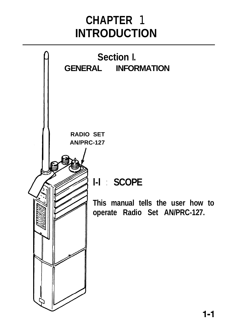# **CHAPTER** 1 **INTRODUCTION**

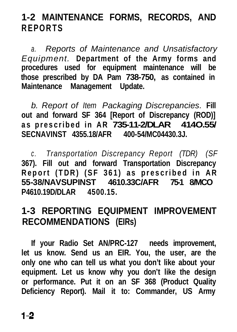### **1-2 MAINTENANCE FORMS, RECORDS, AND REPORTS**

*a. Reports of Maintenance and Unsatisfactory Equipment.* **Department of the Army forms and procedures used for equipment maintenance will be those prescribed by DA Pam 738-750, as contained in Maintenance Management Update.**

*b. Report of Item Packaging Discrepancies.* **Fill out and forward SF 364 [Report of Discrepancy (ROD)] as prescribed in AR 735-11-2/DLAR 414O.55/ SECNAVINST 4355.18/AFR 400-54/MC04430.3J.**

*c . Transportation Discrepancy Report (TDR) (SF* **367). Fill out and forward Transportation Discrepancy Report (TDR) (SF 361) as prescribed in AR 55-38/NAVSUPINST 4610.33C/AFR 75-1 8/MCO P4610.19D/DLAR 4500.15.**

### **1-3 REPORTING EQUIPMENT IMPROVEMENT RECOMMENDATIONS (EIRs)**

**If your Radio Set AN/PRC-127 needs improvement, let us know. Send us an EIR. You, the user, are the only one who can tell us what you don't like about your equipment. Let us know why you don't like the design or performance. Put it on an SF 368 (Product Quality Deficiency Report). Mail it to: Commander, US Army**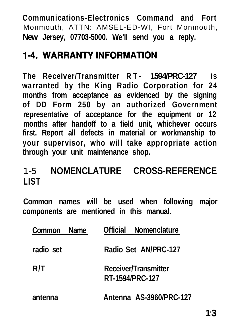**Communications-Electronics Command and Fort** Monmouth, ATTN: AMSEL-ED-WI, Fort Monmouth, **New Jersey, 07703-5000. We'll send you a reply.**

### **1-4. WARRANTY INFORMATION**

**The Receiver/Transmitter RT- 1594/PRC-127 is warranted by the King Radio Corporation for 24 months from acceptance as evidenced by the signing of DD Form 250 by an authorized Government representative of acceptance for the equipment or 12 months after handoff to a field unit, whichever occurs first. Report all defects in material or workmanship to your supervisor, who will take appropriate action through your unit maintenance shop.**

### 1-5 **NOMENCLATURE CROSS-REFERENCE LIST**

**Common names will be used when following major components are mentioned in this manual.**

| Common Name | Official Nomenclature                   |
|-------------|-----------------------------------------|
| radio set   | Radio Set AN/PRC-127                    |
| R/T         | Receiver/Transmitter<br>RT-1594/PRC-127 |
| antenna     | Antenna AS-3960/PRC-127                 |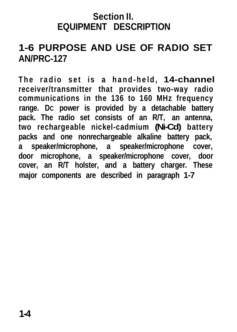#### **Section II. EQUIPMENT DESCRIPTION**

### **1-6 PURPOSE AND USE OF RADIO SET AN/PRC-127**

**The radio set is a hand-held, 14-channel receiver/transmitter that provides two-way radio communications in the 136 to 160 MHz frequency range. DC power is provided by a detachable battery pack. The radio set consists of an R/T, an antenna, two rechargeable nickel-cadmium (Ni-Cd) battery packs and one nonrechargeable alkaline battery pack, a speaker/microphone, a speaker/microphone cover, door microphone, a speaker/microphone cover, door cover, an R/T holster, and a battery charger. These major components are described in paragraph 1-7**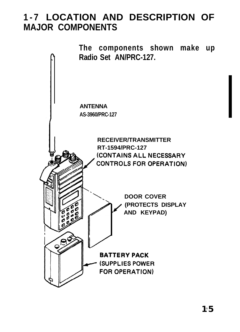### **1-7 LOCATION AND DESCRIPTION OF MAJOR COMPONENTS**

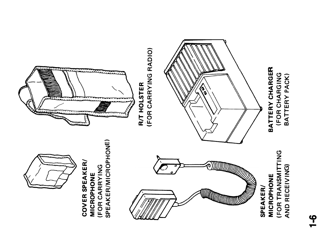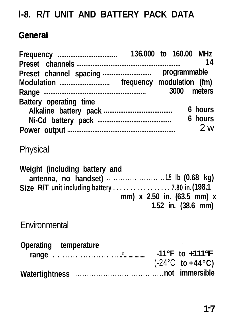### **l-8. R/T UNIT AND BATTERY PACK DATA**

### General

| Battery operating time                                                            |                            | 3000 meters                               | - 14<br>6 hours |
|-----------------------------------------------------------------------------------|----------------------------|-------------------------------------------|-----------------|
|                                                                                   |                            |                                           | 6 hours<br>2 w  |
|                                                                                   |                            |                                           |                 |
| Physical                                                                          |                            |                                           |                 |
| Weight (including battery and<br>Size R/T unit including battery  7.80 in. (198.1 | mm) x 2.50 in. (63.5 mm) x | 1.52 in. (38.6 mm)                        |                 |
| Environmental                                                                     |                            |                                           |                 |
| Operating temperature                                                             |                            | $(-24^{\circ}C \text{ to } +44^{\circ}C)$ |                 |
|                                                                                   |                            |                                           |                 |
|                                                                                   |                            |                                           |                 |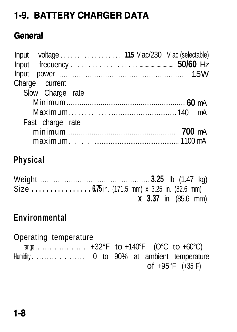### **1-9. BATTERY CHARGER DATA**

#### **General**

| Input voltage  115 Vac/230 Vac (selectable) |  |
|---------------------------------------------|--|
|                                             |  |
| Charge current                              |  |
| Slow Charge rate                            |  |
|                                             |  |
|                                             |  |
| Fast charge rate                            |  |
|                                             |  |
|                                             |  |

### **Physical**

Weight . . . . . . . . . . . . . . . . . . . . . . . . . . . . . . . . . . . . . . . . . . . . . . . . . . **3.25** lb (1.47 kg) Size **. . . . . . . . . . . . . . . . 6.75** in. (171.5 mm) x 3.25 in. (82.6 mm) **x 3.37** in. (85.6 mm)

### **Environmental**

Operating temperature range . . . . . . . . . . . . . . . . . . . . . +32°F to +140°F (O°C to +60°C) Humidity . . . . . . . . . . . . . . . . . . 0 to 90% at ambient temperature of +95°F (+35°F)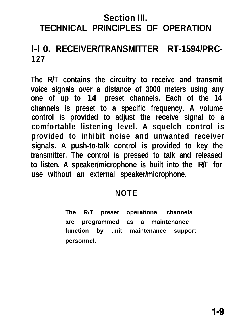### **Section III. TECHNICAL PRINCIPLES OF OPERATION**

### **l-l 0. RECEIVER/TRANSMITTER RT-1594/PRC-127**

**The R/T contains the circuitry to receive and transmit voice signals over a distance of 3000 meters using any one of up to 14 preset channels. Each of the 14 channels is preset to a specific frequency. A volume control is provided to adjust the receive signal to a comfortable listening level. A squelch control is provided to inhibit noise and unwanted receiver signals. A push-to-talk control is provided to key the transmitter. The control is pressed to talk and released to listen. A speaker/microphone is built into the R/T for use without an external speaker/microphone.**

#### **NOTE**

**The R/T preset operational channels are programmed as a maintenance function by unit maintenance support personnel.**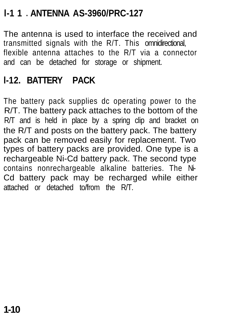### **l-1 1** l **ANTENNA AS-3960/PRC-127**

The antenna is used to interface the received and transmitted signals with the R/T. This omnidirectional, flexible antenna attaches to the R/T via a connector and can be detached for storage or shipment.

### **l-12. BATTERY PACK**

The battery pack supplies dc operating power to the R/T. The battery pack attaches to the bottom of the R/T and is held in place by a spring clip and bracket on the R/T and posts on the battery pack. The battery pack can be removed easily for replacement. Two types of battery packs are provided. One type is a rechargeable Ni-Cd battery pack. The second type contains nonrechargeable alkaline batteries. The Ni-Cd battery pack may be recharged while either attached or detached to/from the R/T.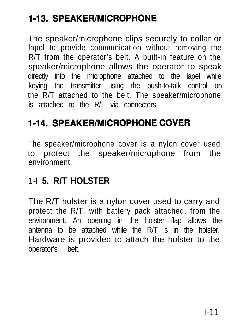### **1-13. SPEAKER/MICROPHONE**

The speaker/microphone clips securely to collar or lapel to provide communication without removing the R/T from the operator's belt. A built-in feature on the speaker/microphone allows the operator to speak directly into the microphone attached to the lapel while keying the transmitter using the push-to-talk control on the R/T attached to the belt. The speaker/microphone is attached to the R/T via connectors.

### **1-14. SPEAKER/MICROPHONE COVER**

The speaker/microphone cover is a nylon cover used to protect the speaker/microphone from the environment.

#### 1-l **5. R/T HOLSTER**

The R/T holster is a nylon cover used to carry and protect the R/T, with battery pack attached, from the environment. An opening in the holster flap allows the antenna to be attached while the R/T is in the holster. Hardware is provided to attach the holster to the operator's belt.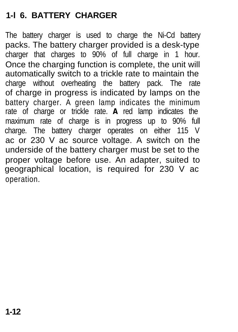#### **1-l 6. BATTERY CHARGER**

The battery charger is used to charge the Ni-Cd battery packs. The battery charger provided is a desk-type charger that charges to 90% of full charge in 1 hour. Once the charging function is complete, the unit will automatically switch to a trickle rate to maintain the charge without overheating the battery pack. The rate of charge in progress is indicated by lamps on the battery charger. A green lamp indicates the minimum rate of charge or trickle rate. **A** red lamp indicates the maximum rate of charge is in progress up to 90% full charge. The battery charger operates on either 115 V ac or 230 V ac source voltage. A switch on the underside of the battery charger must be set to the proper voltage before use. An adapter, suited to geographical location, is required for 230 V ac operation.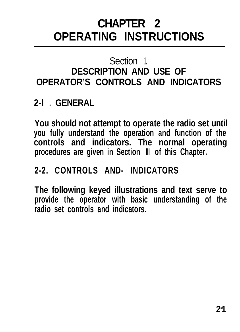# **CHAPTER 2 OPERATING INSTRUCTIONS**

### Section 1. **DESCRIPTION AND USE OF OPERATOR'S CONTROLS AND INDICATORS**

### **2-l** l **GENERAL**

**You should not attempt to operate the radio set until you fully understand the operation and function of the controls and indicators. The normal operating procedures are given in Section III of this Chapter.**

### **2-2. CONTROLS AND- INDICATORS**

**The following keyed illustrations and text serve to provide the operator with basic understanding of the radio set controls and indicators.**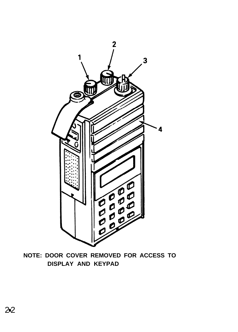

**NOTE: DOOR COVER REMOVED FOR ACCESS TO DISPLAY AND KEYPAD**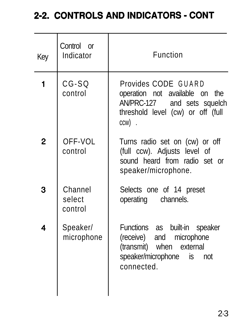### 2-2. CONTROLS AND INDICATORS - CONT

| Control or<br>Indicator      | Function                                                                                                                            |
|------------------------------|-------------------------------------------------------------------------------------------------------------------------------------|
| CG-SQ<br>control             | Provides CODE GUARD<br>operation not available on the<br>AN/PRC-127 and sets squelch<br>threshold level (cw) or off (full<br>ccw).  |
| OFF-VOL<br>control           | Turns radio set on (cw) or off<br>(full ccw). Adjusts level of<br>sound heard from radio set or<br>speaker/microphone.              |
| Channel<br>select<br>control | Selects one of 14 preset<br>operating<br>channels.                                                                                  |
| Speaker/<br>microphone       | Functions as built-in speaker<br>(receive) and microphone<br>(transmit) when external<br>speaker/microphone is<br>not<br>connected. |
|                              |                                                                                                                                     |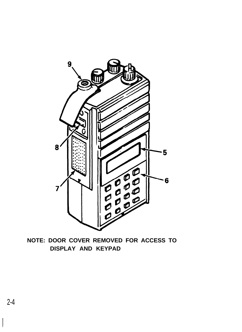

**NOTE: DOOR COVER REMOVED FOR ACCESS TO DISPLAY AND KEYPAD**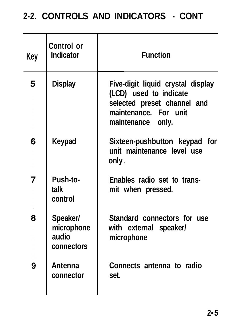### **2-2. CONTROLS AND INDICATORS - CONT**

| Key | Control or<br>Indicator                       | <b>Function</b>                                                                                                                          |
|-----|-----------------------------------------------|------------------------------------------------------------------------------------------------------------------------------------------|
| 5   | <b>Display</b>                                | Five-digit liquid crystal display<br>(LCD) used to indicate<br>selected preset channel and<br>maintenance. For unit<br>maintenance only. |
| 6   | Keypad                                        | Sixteen-pushbutton keypad for<br>unit maintenance level use<br>only .                                                                    |
| 7   | Push-to-<br>talk<br>control                   | Enables radio set to trans-<br>mit when pressed.                                                                                         |
| 8   | Speaker/<br>microphone<br>audio<br>connectors | Standard connectors for use<br>with external speaker/<br>microphone                                                                      |
| 9   | Antenna<br>connector                          | Connects antenna to radio<br>set.                                                                                                        |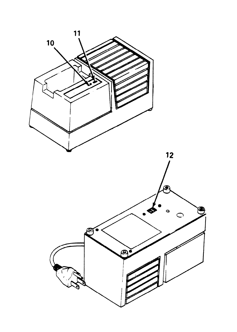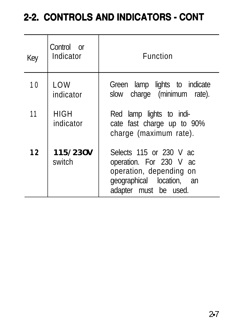### 2-2. CONTROLS AND INDICATORS - CONT

| Key | Control or<br>Indicator  | Function                                                                                                                            |
|-----|--------------------------|-------------------------------------------------------------------------------------------------------------------------------------|
| 10  | LOW<br>indicator         | Green lamp lights to indicate<br>slow charge (minimum rate).                                                                        |
| 11  | <b>HIGH</b><br>indicator | Red lamp lights to indi-<br>cate fast charge up to 90%<br>charge (maximum rate).                                                    |
| 12  | 115/230V<br>switch       | Selects 115 or 230 V ac<br>operation. For 230 V ac<br>operation, depending on<br>geographical location, an<br>adapter must be used. |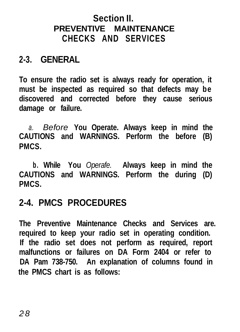#### **Section II. PREVENTIVE MAINTENANCE CHECKS AND SERVICES**

### **2-3. GENERAL**

**To ensure the radio set is always ready for operation, it must be inspected as required so that defects may be discovered and corrected before they cause serious damage or failure.**

*a. Before* **You Operate. Always keep in mind the CAUTIONS and WARNINGS. Perform the before (B) PMCS.**

**b. While You** *Operafe.* **Always keep in mind the CAUTIONS and WARNINGS. Perform the during (D) PMCS.**

### **2-4. PMCS PROCEDURES**

**The Preventive Maintenance Checks and Services are. required to keep your radio set in operating condition. If the radio set does not perform as required, report malfunctions or failures on DA Form 2404 or refer to DA Pam 738-750. An explanation of columns found in the PMCS chart is as follows:**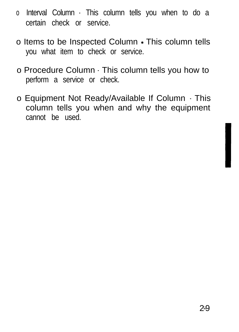- o Interval Column This column tells you when to do a certain check or service.
- o Items to be Inspected Column This column tells you what item to check or service.
- o Procedure Column This column tells you how to perform a service or check.
- o Equipment Not Ready/Available If Column This column tells you when and why the equipment cannot be used.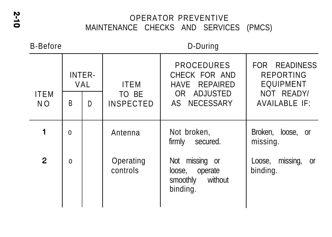#### OPERATOR PREVENTIVE MAINTENANCE CHECKS AND SERVICES (PMCS)

B-Before D-During

|                    |              | <b>PROCEDURES</b><br>INTER-<br>CHECK FOR AND<br><b>ITEM</b><br>VAL<br>HAVE REPAIRED |                           |                                                                        | FOR READINESS<br><b>REPORTING</b><br><b>EQUIPMENT</b> |  |
|--------------------|--------------|-------------------------------------------------------------------------------------|---------------------------|------------------------------------------------------------------------|-------------------------------------------------------|--|
| <b>ITEM</b><br>NO. | B            | D                                                                                   | TO BE<br><b>INSPECTED</b> | OR ADJUSTED<br>AS NECESSARY                                            | NOT READY/<br><b>AVAILABLE IF:</b>                    |  |
|                    | $\theta$     |                                                                                     | Antenna                   | Not broken,<br>firmly<br>secured.                                      | Broken, loose, or<br>missing.                         |  |
| $\mathbf{2}$       | $\mathbf{0}$ |                                                                                     | Operating<br>controls     | Not missing or<br>operate<br>loose,<br>smoothly<br>without<br>binding. | missing,<br>Loose,<br>0ľ<br>binding.                  |  |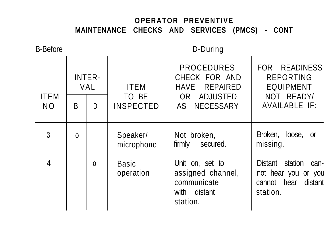#### **OPERATOR PREVENTIVE MAINTENANCE CHECKS AND SERVICES (PMCS) - CONT**

| <b>B-Before</b>    |          | D-During      |                           |                                                                                    |                                                                                      |
|--------------------|----------|---------------|---------------------------|------------------------------------------------------------------------------------|--------------------------------------------------------------------------------------|
|                    |          | INTER-<br>VAL | <b>ITEM</b>               | <b>PROCEDURES</b><br>CHECK FOR AND<br>REPAIRED<br>HAVE                             | FOR READINESS<br><b>REPORTING</b><br><b>EQUIPMENT</b>                                |
| <b>ITEM</b><br>NO. | B        | D             | TO BE<br><b>INSPECTED</b> | ADJUSTED<br>OR .<br>AS NECESSARY                                                   | NOT READY/<br><b>AVAILABLE IF:</b>                                                   |
| 3                  | $\Omega$ |               | Speaker/<br>microphone    | Not broken,<br>firmly<br>secured.                                                  | Broken, loose, or<br>missing.                                                        |
| 4                  |          | $\Omega$      | Basic<br>operation        | Unit on, set to<br>assigned channel,<br>communicate<br>with<br>distant<br>station. | Distant station<br>can-<br>not hear you or you<br>distant<br>cannot hear<br>station. |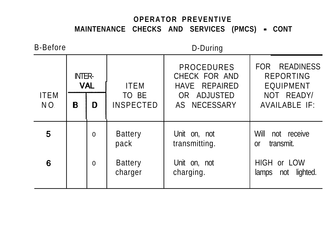#### **OPERATOR PREVENTIVE MAINTENANCE CHECKS AND SERVICES (PMCS) - CONT**

B-Before D-During

|                    |                            |              |                           | איייי איש                                           |                                                       |  |
|--------------------|----------------------------|--------------|---------------------------|-----------------------------------------------------|-------------------------------------------------------|--|
| <b>ITEM</b><br>NO. | <b>NTER-</b><br><b>VAL</b> |              | <b>ITEM</b>               | <b>PROCEDURES</b><br>CHECK FOR AND<br>HAVE REPAIRED | FOR READINESS<br><b>REPORTING</b><br><b>EQUIPMENT</b> |  |
|                    | в                          | D            | TO BE<br><b>INSPECTED</b> | OR ADJUSTED<br>AS NECESSARY                         | NOT READY/<br>AVAILABLE IF:                           |  |
| 5                  |                            | $\mathbf{0}$ | <b>Battery</b><br>pack    | Unit on, not<br>transmitting.                       | Will<br>not receive<br>transmit.<br>0ľ                |  |
| 6                  |                            | $\mathbf{0}$ | <b>Battery</b><br>charger | Unit on, not<br>charging.                           | HIGH or LOW<br>not lighted.<br>lamps                  |  |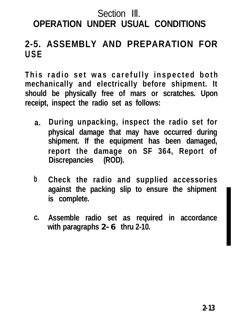#### Section III **OPERATION UNDER USUAL CONDITIONS**

#### **2-5. ASSEMBLY AND PREPARATION FOR USE**

**This radio set was carefully inspected both mechanically and electrically before shipment. It should be physically free of mars or scratches. Upon receipt, inspect the radio set as follows:**

- **a. During unpacking, inspect the radio set for physical damage that may have occurred during shipment. If the equipment has been damaged, report the damage on SF 364, Report of Discrepancies (ROD).**
- **b . Check the radio and supplied accessories against the packing slip to ensure the shipment is complete.**
- **c. Assemble radio set as required in accordance with paragraphs 2-6 thru 2-10.**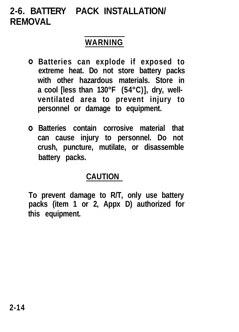### **2-6. BATTERY PACK INSTALLATION/ REMOVAL**

### **WARNING**

- **Batteries can explode if exposed to extreme heat. Do not store battery packs with other hazardous materials. Store in a cool [less than 130°F (54°C)], dry, wellventilated area to prevent injury to personnel or damage to equipment.**
- **Batteries contain corrosive material that can cause injury to personnel. Do not crush, puncture, mutilate, or disassemble battery packs.**

#### **CAUTION**

**To prevent damage to R/T, only use battery packs (item 1 or 2, Appx D) authorized for this equipment.**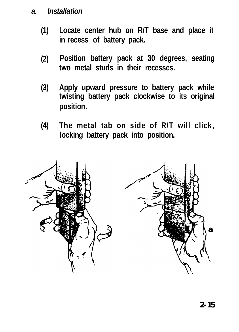#### *a. Installation*

- **(1) Locate center hub on R/T base and place it in recess of battery pack.**
- **(2) Position battery pack at 30 degrees, seating two metal studs in their recesses.**
- **(3) Apply upward pressure to battery pack while twisting battery pack clockwise to its original position.**
- **(4) The metal tab on side of R/T will click, locking battery pack into position.**

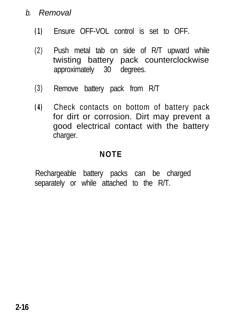#### *b. Removal*

- **(1)** Ensure OFF-VOL control is set to OFF.
- (2) Push metal tab on side of R/T upward while twisting battery pack counterclockwise approximately 30 degrees.
- (3) Remove battery pack from R/T
- **(4)** Check contacts on bottom of battery pack for dirt or corrosion. Dirt may prevent a good electrical contact with the battery charger.

#### **NOTE**

Rechargeable battery packs can be charged separately or while attached to the R/T.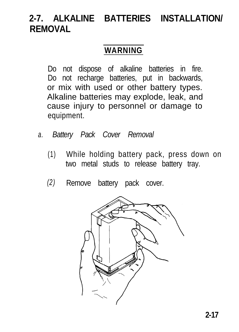### **2-7. ALKALINE BATTERIES INSTALLATION/ REMOVAL**

#### **WARNING**

Do not dispose of alkaline batteries in fire. Do not recharge batteries, put in backwards, or mix with used or other battery types. Alkaline batteries may explode, leak, and cause injury to personnel or damage to equipment.

- *a. Battery Pack Cover Removal*
	- (1) While holding battery pack, press down on two metal studs to release battery tray.
	- *(2)* Remove battery pack cover.

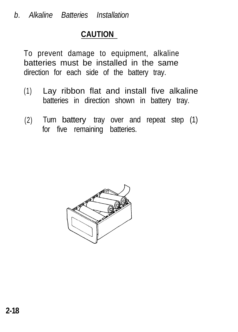#### **CAUTION**

To prevent damage to equipment, alkaline batteries must be installed in the same direction for each side of the battery tray.

- (1) Lay ribbon flat and install five alkaline batteries in direction shown in battery tray.
- (2) Turn battery tray over and repeat step (1) for five remaining batteries.

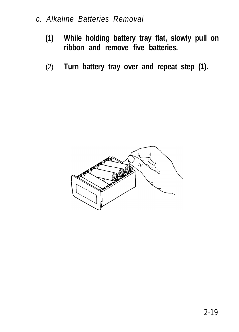#### *c. Alkaline Batteries Removal*

- **(1) While holding battery tray flat, slowly pull on ribbon and remove five batteries.**
- (2) **Turn battery tray over and repeat step (1).**

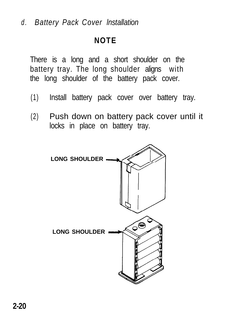*d . Battery Pack Cover lnstallation*

#### **NOTE**

There is a long and a short shoulder on the battery tray. The long shoulder aligns with the long shoulder of the battery pack cover.

- (1) Install battery pack cover over battery tray.
- (2) Push down on battery pack cover until it locks in place on battery tray.

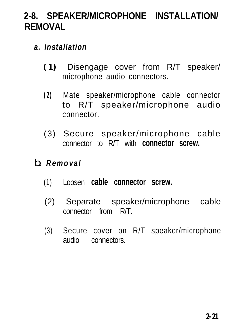### **2-8. SPEAKER/MICROPHONE INSTALLATION/ REMOVAL**

- *a. Installation*
	- **(1)** Disengage cover from R/T speaker/ microphone audio connectors.
	- **(2)** Mate speaker/microphone cable connector to R/T speaker/microphone audio connector.
	- (3) Secure speaker/microphone cable connector to R/T with **connector screw.**
- *b. Removal*
	- (1) Loosen **cable connector screw.**
	- (2) Separate speaker/microphone cable connector from R/T.
	- (3) Secure cover on R/T speaker/microphone audio connectors.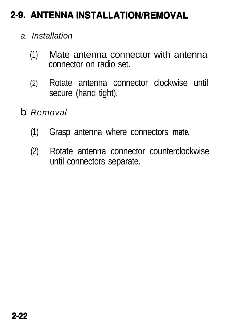### 2-9. ANTENNA INSTALLATION/REMOVAL

- *a. Installation*
	- (1) Mate antenna connector with antenna connector on radio set.
	- (2) Rotate antenna connector clockwise until secure (hand tight).
- *b. Removal*
	- (1) Grasp antenna where connectors **mate.**
	- (2) Rotate antenna connector counterclockwise until connectors separate.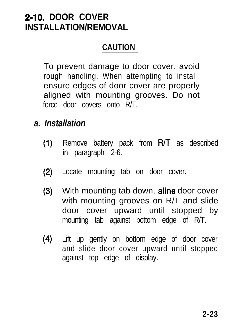### **2-10. DOOR COVER INSTALLATION/REMOVAL**

#### **CAUTION**

To prevent damage to door cover, avoid rough handling. When attempting to install, ensure edges of door cover are properly aligned with mounting grooves. Do not force door covers onto R/T.

- *a. Installation*
	- $(1)$ Remove battery pack from R/T as described in paragraph 2-6.
	- (2) Locate mounting tab on door cover.
	- (3) With mounting tab down, **aline** door cover with mounting grooves on R/T and slide door cover upward until stopped by mounting tab against bottom edge of R/T.
	- (4) Lift up gently on bottom edge of door cover and slide door cover upward until stopped against top edge of display.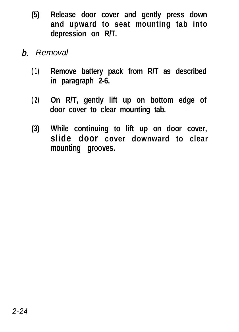- **(5) Release door cover and gently press down and upward to seat mounting tab into depression on R/T.**
- *6. Removal*
	- **(1) Remove battery pack from R/T as described in paragraph 2-6.**
	- **(2) On R/T, gently lift up on bottom edge of door cover to clear mounting tab.**
	- **(3) While continuing to lift up on door cover, slide door cover downward to clear mounting grooves.**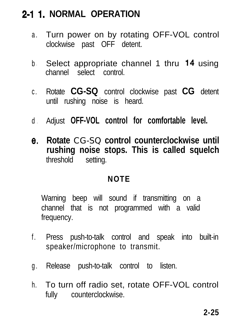### **2-l 1. NORMAL OPERATION**

- a. Turn power on by rotating OFF-VOL control clockwise past OFF detent.
- b . Select appropriate channel 1 thru 14 using channel select control.
- c . Rotate **CG-SQ** control clockwise past **CG** detent until rushing noise is heard.
- d . Adjust **OFF-VOL control for comfortable level.**
- e. **Rotate** CG-SQ **control counterclockwise until rushing noise stops. This is called squelch** threshold setting.

#### **NOTE**

Warning beep will sound if transmitting on a channel that is not programmed with a valid frequency.

- f. Press push-to-talk control and speak into built-in speaker/microphone to transmit.
- g. Release push-to-talk control to listen.
- h. To turn off radio set, rotate OFF-VOL control fully counterclockwise.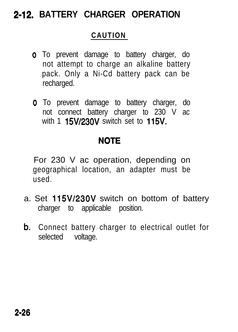### **2-12. BATTERY CHARGER OPERATION**

#### **CAUTION**

- o To prevent damage to battery charger, do not attempt to charge an alkaline battery pack. Only a Ni-Cd battery pack can be recharged.
- o To prevent damage to battery charger, do not connect battery charger to 230 V ac with 1  $15V/230V$  switch set to  $115V$ .

#### **NOTE**

For 230 V ac operation, depending on geographical location, an adapter must be used.

- a. Set 115W23OV switch on bottom of battery charger to applicable position.
- **b.** Connect battery charger to electrical outlet for selected voltage.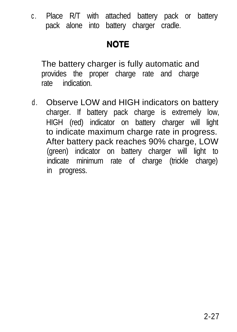c . Place R/T with attached battery pack or battery pack alone into battery charger cradle.

#### **NOTE**

The battery charger is fully automatic and provides the proper charge rate and charge rate indication.

d. Observe LOW and HIGH indicators on battery charger. If battery pack charge is extremely low, HIGH (red) indicator on battery charger will light to indicate maximum charge rate in progress. After battery pack reaches 90% charge, LOW (green) indicator on battery charger will light to indicate minimum rate of charge (trickle charge) in progress.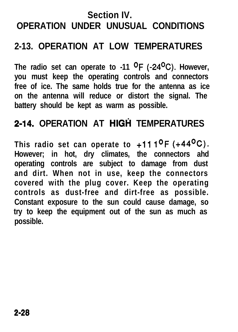### **Section IV. OPERATION UNDER UNUSUAL CONDITIONS**

### **2-13. OPERATION AT LOW TEMPERATURES**

**The radio set can operate to -11 OF (-24OC). However, you must keep the operating controls and connectors free of ice. The same holds true for the antenna as ice on the antenna will reduce or distort the signal. The battery should be kept as warm as possible.**

### **2-14. OPERATION AT HIGH TEMPERATURES**

**This radio set can operate to +ll l°F (+44OC). However; in hot, dry climates, the connectors ahd operating controls are subject to damage from dust and dirt. When not in use, keep the connectors covered with the plug cover. Keep the operating controls as dust-free and dirt-free as possible. Constant exposure to the sun could cause damage, so try to keep the equipment out of the sun as much as possible.**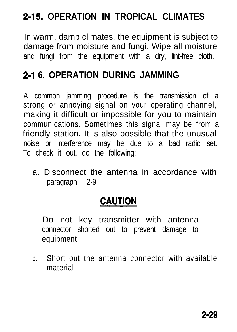### **2-15. OPERATION IN TROPICAL CLIMATES**

In warm, damp climates, the equipment is subject to damage from moisture and fungi. Wipe all moisture and fungi from the equipment with a dry, lint-free cloth.

### **2-l 6. OPERATION DURING JAMMING**

A common jamming procedure is the transmission of a strong or annoying signal on your operating channel, making it difficult or impossible for you to maintain communications. Sometimes this signal may be from a friendly station. It is also possible that the unusual noise or interference may be due to a bad radio set. To check it out, do the following:

a. Disconnect the antenna in accordance with paragraph 2-9.

#### **CAUTION**

Do not key transmitter with antenna connector shorted out to prevent damage to equipment.

b. Short out the antenna connector with available material.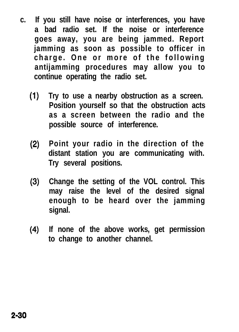- **c. If you still have noise or interferences, you have a bad radio set. If the noise or interference goes away, you are being jammed. Report jamming as soon as possible to officer in charge. One or more of the following antijamming procedures may allow you to continue operating the radio set.**
	- (1) **Try to use a nearby obstruction as a screen. Position yourself so that the obstruction acts as a screen between the radio and the possible source of interference.**
	- (2) **Point your radio in the direction of the distant station you are communicating with. Try several positions.**
	- (3) **Change the setting of the VOL control. This may raise the level of the desired signal enough to be heard over the jamming signal.**
	- (4) **If none of the above works, get permission to change to another channel.**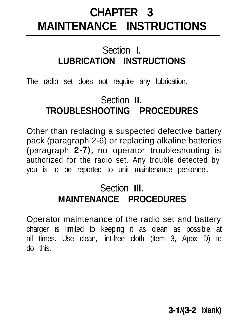# **CHAPTER 3 MAINTENANCE INSTRUCTIONS**

### Section I. **LUBRICATION INSTRUCTIONS**

The radio set does not require any lubrication.

### Section **II. TROUBLESHOOTING PROCEDURES**

Other than replacing a suspected defective battery pack (paragraph 2-6) or replacing alkaline batteries (paragraph 2-7), no operator troubleshooting is authorized for the radio set. Any trouble detected by you is to be reported to unit maintenance personnel.

### Section **Ill. MAINTENANCE PROCEDURES**

Operator maintenance of the radio set and battery charger is limited to keeping it as clean as possible at all times. Use clean, lint-free cloth (item 3, Appx D) to do this.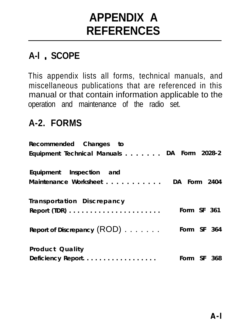# **APPENDIX A REFERENCES**

### A-I . SCOPE

This appendix lists all forms, technical manuals, and miscellaneous publications that are referenced in this manual or that contain information applicable to the operation and maintenance of the radio set.

### **A-2. FORMS**

| Recommended Changes to                                          |             |  |
|-----------------------------------------------------------------|-------------|--|
| Equipment Technical Manuals DA Form 2028-2                      |             |  |
| Equipment Inspection and                                        |             |  |
| Maintenance Worksheet DA Form 2404                              |             |  |
| <b>Transportation Discrepancy</b>                               |             |  |
| Report (TDR) $\ldots \ldots \ldots \ldots \ldots \ldots \ldots$ | Form SF 361 |  |
| Report of Discrepancy $(ROD)$                                   | Form SF 364 |  |
| <b>Product Quality</b><br>Deficiency Report.                    | Form SF 368 |  |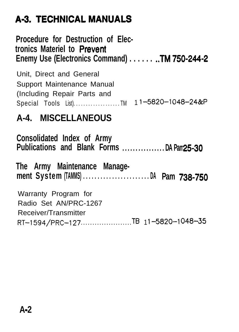## **A-3. TECHNICAL MANUALS**

**Procedure for Destruction of Electronics Materiel to Prevent Enemy Use (Electronics Command) . . . . . . ..TM 750-244-2**

Unit, Direct and General Support Maintenance Manual (Including Repair Parts and Special Tools List)......................TM 11-5820-1048-24&P

### **A-4. MISCELLANEOUS**

**Consolidated Index of Army Publications and Blank Forms . . . . . . . . . . . . . . . . DA Pam 2530 The Army Maintenance Management System (TAMMS) . . . . . . . . . . . . . . . . . . . . . . . DA Pam 738-750** Warranty Program for Radio Set AN/PRC-1267 Receiver/Transmitter RT-1594/PRC-127....................TB 11-5820-1048-35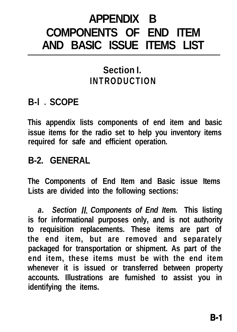# **APPENDIX B COMPONENTS OF END ITEM AND BASIC ISSUE ITEMS LIST**

### **Section I. INTRODUCTION**

### **B-l** l **SCOPE**

**This appendix lists components of end item and basic issue items for the radio set to help you inventory items required for safe and efficient operation.**

### **B-2. GENERAL**

**The Components of End Item and Basic issue Items Lists are divided into the following sections:**

*a. Section Il. Components of End Item.* **This listing is for informational purposes only, and is not authority to requisition replacements. These items are part of the end item, but are removed and separately packaged for transportation or shipment. As part of the end item, these items must be with the end item whenever it is issued or transferred between property accounts. Illustrations are furnished to assist you in identifying the items.**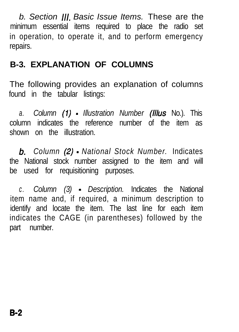*b. Section 111. Basic Issue Items.* These are the minimum essential items required to place the radio set in operation, to operate it, and to perform emergency repairs.

#### **B-3. EXPLANATION OF COLUMNS**

The following provides an explanation of columns found in the tabular listings:

*a. Column (I) - Illustration Number* (Illus No.). This column indicates the reference number of the item as shown on the illustration.

*6. Column* (2) *- National Stock Number.* Indicates the National stock number assigned to the item and will be used for requisitioning purposes.

*c . Column (3) - Description.* Indicates the National item name and, if required, a minimum description to identify and locate the item. The last line for each item indicates the CAGE (in parentheses) followed by the part number.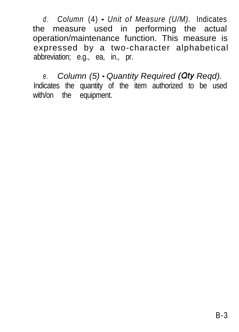*d . Column* (4) - *Unit of Measure (U/M).* Indicates the measure used in performing the actual operation/maintenance function. This measure is expressed by a two-character alphabetical abbreviation; e.g., ea, in., pr.

*e. Column (5) - Quantity Required (Qty Reqd).* Indicates the quantity of the item authorized to be used with/on the equipment.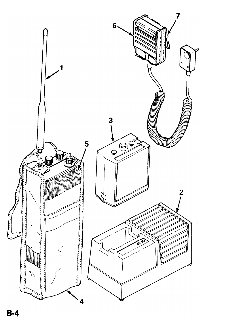

 $B-4$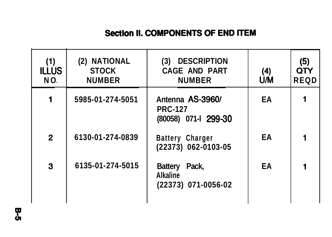#### Section II. COMPONENTS OF END ITEM

| (1)<br><b>ILLUS</b><br>NO. | (2) NATIONAL<br><b>STOCK</b><br><b>NUMBER</b> | <b>DESCRIPTION</b><br>(3)<br><b>CAGE AND PART</b><br><b>NUMBER</b> | (4)<br><b>UM</b> | (5)<br>QTY<br><b>REQD</b> |
|----------------------------|-----------------------------------------------|--------------------------------------------------------------------|------------------|---------------------------|
| 1                          | 5985-01-274-5051                              | Antenna AS-3960/<br><b>PRC-127</b><br>(80058) 071-1 299-30         | EA               |                           |
| $\mathbf{2}$               | 6130-01-274-0839                              | <b>Battery Charger</b><br>(22373) 062-0103-05                      | EA               |                           |
| 3                          | 6135-01-274-5015                              | <b>Battery</b><br>Pack,<br><b>Alkaline</b><br>(22373) 071-0056-02  | EA               |                           |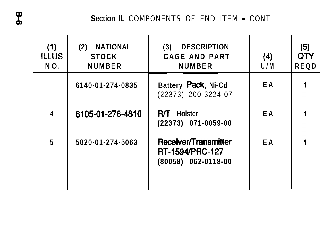Section II. COMPONENTS OF END ITEM . CONT

| (1)<br><b>ILLUS</b><br>NO. | <b>NATIONAL</b><br>(2)<br><b>STOCK</b><br><b>NUMBER</b> | <b>DESCRIPTION</b><br>(3)<br><b>CAGE AND PART</b><br><b>NUMBER</b>          | (4)<br>U/M | (5)<br>OTY<br><b>REQD</b> |
|----------------------------|---------------------------------------------------------|-----------------------------------------------------------------------------|------------|---------------------------|
|                            | 6140-01-274-0835                                        | Battery Pack, Ni-Cd<br>(22373) 200-3224-07                                  | E A        |                           |
| $\overline{4}$             | 8105-01-276-4810                                        | <b>Holster</b><br>RЛ.<br>(22373) 071-0059-00                                | EA         |                           |
| 5                          | 5820-01-274-5063                                        | Receiver/Transmitter<br><b>RT-1594/PRC-127</b><br>$(80058) 062 - 0118 - 00$ | E A        |                           |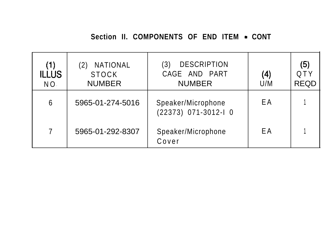#### Section II. COMPONENTS OF END ITEM . CONT

| (1)<br><b>ILLUS</b><br>NO. | NATIONAL<br><b>STOCK</b><br><b>NUMBER</b> | <b>DESCRIPTION</b><br>3)<br>CAGE AND PART<br><b>NUMBER</b> | (4)<br>U/M | (5)<br>QTY<br><b>REQD</b> |
|----------------------------|-------------------------------------------|------------------------------------------------------------|------------|---------------------------|
| 6                          | 5965-01-274-5016                          | Speaker/Microphone<br>(22373) 071-3012-I 0                 | ΕA         |                           |
| 7                          | 5965-01-292-8307                          | Speaker/Microphone<br>Cover                                | ΕA         |                           |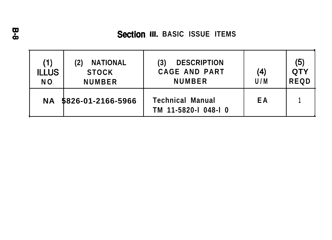| (1)<br><b>ILLUS</b><br>NO. | <b>NATIONAL</b><br><b>STOCK</b><br><b>NUMBER</b> | <b>DESCRIPTION</b><br><b>CAGE AND PART</b><br><b>NUMBER</b> | (4)<br>U/M | (5)<br>QTY<br><b>REQD</b> |
|----------------------------|--------------------------------------------------|-------------------------------------------------------------|------------|---------------------------|
| <b>NA</b>                  | 5826-01-2166-5966                                | <b>Technical Manual</b><br>TM 11-5820-I 048-I 0             | ΕA         |                           |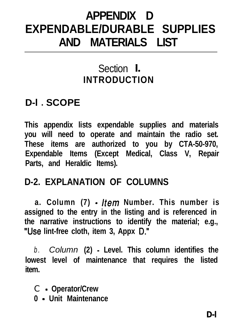# **APPENDIX D EXPENDABLE/DURABLE SUPPLIES AND MATERIALS LIST**

### Section **I. INTRODUCTION**

### **D-l** l **SCOPE**

**This appendix lists expendable supplies and materials you will need to operate and maintain the radio set. These items are authorized to you by CTA-50-970, Expendable Items (Except Medical, Class V, Repair Parts, and Heraldic Items).**

### **D-2. EXPLANATION OF COLUMNS**

**a. Column (7) - /tern Number. This number is assigned to the entry in the listing and is referenced in the narrative instructions to identify the material; e.g., "Use lint-free cloth, item 3, Appx D."**

*b . Column* **(2) - Level. This column identifies the lowest level of maintenance that requires the listed item.**

- C  **Operator/Crew**
- **0 Unit Maintenance**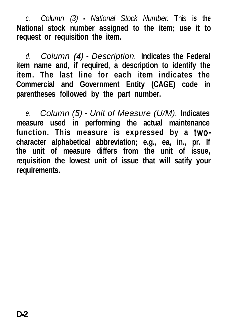*c . Column (3) - National Stock Number.* This **is the National stock number assigned to the item; use it to request or requisition the item.**

*d. Column* (4) *- Description.* **Indicates the Federal item name and, if required, a description to identify the item. The last line for each item indicates the Commercial and Government Entity (CAGE) code in parentheses followed by the part number.**

*e. Column (5) - Unit of Measure (U/M).* **Indicates measure used in performing the actual maintenance function. This measure is expressed by a twocharacter alphabetical abbreviation; e.g., ea, in., pr. If the unit of measure differs from the unit of issue, requisition the lowest unit of issue that will satify your requirements.**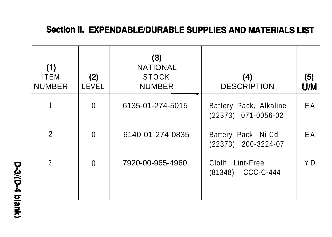### Section II. EXPENDABLE/DURABLE SUPPLIES AND MATERIALS LIST

| (1)<br><b>ITEM</b><br><b>NUMBER</b> | (2)<br>LEVEL     | (3)<br><b>NATIONAL</b><br><b>STOCK</b><br><b>NUMBER</b> | (4)<br><b>DESCRIPTION</b>                     | (5)<br>UM |
|-------------------------------------|------------------|---------------------------------------------------------|-----------------------------------------------|-----------|
|                                     | $\boldsymbol{0}$ | 6135-01-274-5015                                        | Battery Pack, Alkaline<br>(22373) 071-0056-02 | EA        |
| $\overline{2}$                      | $\theta$         | 6140-01-274-0835                                        | Battery Pack, Ni-Cd<br>(22373) 200-3224-07    | E A       |
| 3                                   | $\Omega$         | 7920-00-965-4960                                        | Cloth, Lint-Free<br>(81348) CCC-C-444         | Y D       |